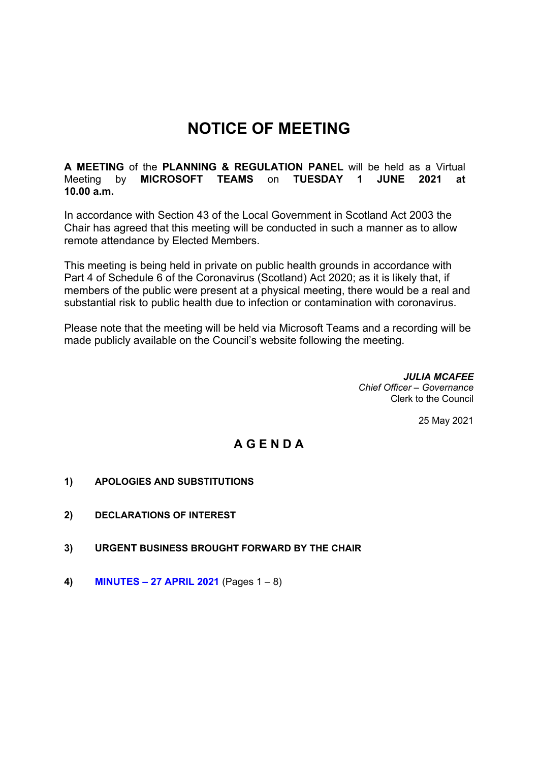## **NOTICE OF MEETING**

**A MEETING** of the **PLANNING & REGULATION PANEL** will be held as a Virtual Meeting by **MICROSOFT TEAMS** on **TUESDAY 1 JUNE 2021 at 10.00 a.m.** 

In accordance with Section 43 of the Local Government in Scotland Act 2003 the Chair has agreed that this meeting will be conducted in such a manner as to allow remote attendance by Elected Members.

This meeting is being held in private on public health grounds in accordance with Part 4 of Schedule 6 of the Coronavirus (Scotland) Act 2020; as it is likely that, if members of the public were present at a physical meeting, there would be a real and substantial risk to public health due to infection or contamination with coronavirus.

Please note that the meeting will be held via Microsoft Teams and a recording will be made publicly available on the Council's website following the meeting.

> *JULIA MCAFEE Chief Officer – Governance*  Clerk to the Council

> > 25 May 2021

## **A G E N D A**

- **1) APOLOGIES AND SUBSTITUTIONS**
- **2) DECLARATIONS OF INTEREST**
- **3) URGENT BUSINESS BROUGHT FORWARD BY THE CHAIR**
- **4) MINUTES – 27 APRIL 2021** (Pages 1 8)